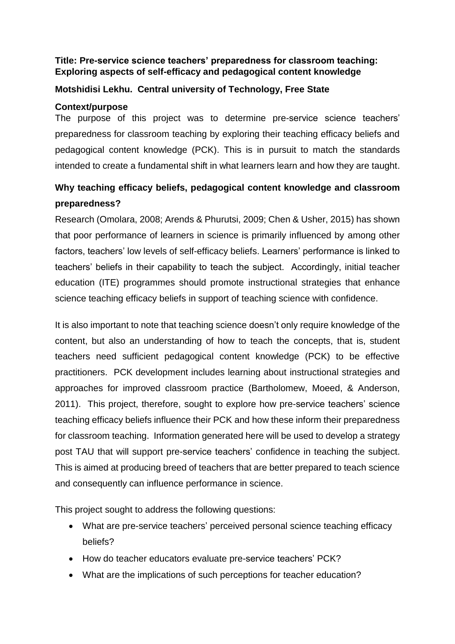### **Title: Pre-service science teachers' preparedness for classroom teaching: Exploring aspects of self-efficacy and pedagogical content knowledge**

### **Motshidisi Lekhu. Central university of Technology, Free State**

### **Context/purpose**

The purpose of this project was to determine pre-service science teachers' preparedness for classroom teaching by exploring their teaching efficacy beliefs and pedagogical content knowledge (PCK). This is in pursuit to match the standards intended to create a fundamental shift in what learners learn and how they are taught.

# **Why teaching efficacy beliefs, pedagogical content knowledge and classroom preparedness?**

Research (Omolara, 2008; Arends & Phurutsi, 2009; Chen & Usher, 2015) has shown that poor performance of learners in science is primarily influenced by among other factors, teachers' low levels of self-efficacy beliefs. Learners' performance is linked to teachers' beliefs in their capability to teach the subject. Accordingly, initial teacher education (ITE) programmes should promote instructional strategies that enhance science teaching efficacy beliefs in support of teaching science with confidence.

It is also important to note that teaching science doesn't only require knowledge of the content, but also an understanding of how to teach the concepts, that is, student teachers need sufficient pedagogical content knowledge (PCK) to be effective practitioners. PCK development includes learning about instructional strategies and approaches for improved classroom practice (Bartholomew, Moeed, & Anderson, 2011). This project, therefore, sought to explore how pre-service teachers' science teaching efficacy beliefs influence their PCK and how these inform their preparedness for classroom teaching. Information generated here will be used to develop a strategy post TAU that will support pre-service teachers' confidence in teaching the subject. This is aimed at producing breed of teachers that are better prepared to teach science and consequently can influence performance in science.

This project sought to address the following questions:

- What are pre-service teachers' perceived personal science teaching efficacy beliefs?
- How do teacher educators evaluate pre-service teachers' PCK?
- What are the implications of such perceptions for teacher education?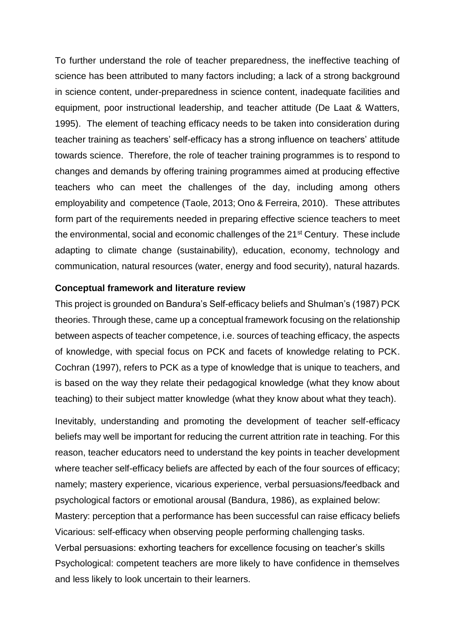To further understand the role of teacher preparedness, the ineffective teaching of science has been attributed to many factors including; a lack of a strong background in science content, under-preparedness in science content, inadequate facilities and equipment, poor instructional leadership, and teacher attitude (De Laat & Watters, 1995). The element of teaching efficacy needs to be taken into consideration during teacher training as teachers' self-efficacy has a strong influence on teachers' attitude towards science. Therefore, the role of teacher training programmes is to respond to changes and demands by offering training programmes aimed at producing effective teachers who can meet the challenges of the day, including among others employability and competence (Taole, 2013; Ono & Ferreira, 2010). These attributes form part of the requirements needed in preparing effective science teachers to meet the environmental, social and economic challenges of the 21<sup>st</sup> Century. These include adapting to climate change (sustainability), education, economy, technology and communication, natural resources (water, energy and food security), natural hazards.

#### **Conceptual framework and literature review**

This project is grounded on Bandura's Self-efficacy beliefs and Shulman's (1987) PCK theories. Through these, came up a conceptual framework focusing on the relationship between aspects of teacher competence, i.e. sources of teaching efficacy, the aspects of knowledge, with special focus on PCK and facets of knowledge relating to PCK. Cochran (1997), refers to PCK as a type of knowledge that is unique to teachers, and is based on the way they relate their pedagogical knowledge (what they know about teaching) to their subject matter knowledge (what they know about what they teach).

Inevitably, understanding and promoting the development of teacher self-efficacy beliefs may well be important for reducing the current attrition rate in teaching. For this reason, teacher educators need to understand the key points in teacher development where teacher self-efficacy beliefs are affected by each of the four sources of efficacy; namely; mastery experience, vicarious experience, verbal persuasions/feedback and psychological factors or emotional arousal (Bandura, 1986), as explained below: Mastery: perception that a performance has been successful can raise efficacy beliefs Vicarious: self-efficacy when observing people performing challenging tasks. Verbal persuasions: exhorting teachers for excellence focusing on teacher's skills Psychological: competent teachers are more likely to have confidence in themselves and less likely to look uncertain to their learners.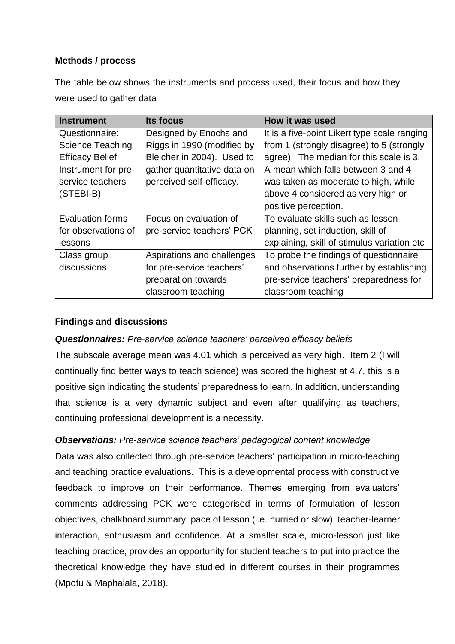### **Methods / process**

The table below shows the instruments and process used, their focus and how they were used to gather data

| <b>Instrument</b>       | Its focus                   | How it was used                              |
|-------------------------|-----------------------------|----------------------------------------------|
| Questionnaire:          | Designed by Enochs and      | It is a five-point Likert type scale ranging |
| <b>Science Teaching</b> | Riggs in 1990 (modified by  | from 1 (strongly disagree) to 5 (strongly    |
| <b>Efficacy Belief</b>  | Bleicher in 2004). Used to  | agree). The median for this scale is 3.      |
| Instrument for pre-     | gather quantitative data on | A mean which falls between 3 and 4           |
| service teachers        | perceived self-efficacy.    | was taken as moderate to high, while         |
| (STEBI-B)               |                             | above 4 considered as very high or           |
|                         |                             | positive perception.                         |
| <b>Evaluation forms</b> | Focus on evaluation of      | To evaluate skills such as lesson            |
| for observations of     | pre-service teachers' PCK   | planning, set induction, skill of            |
| lessons                 |                             | explaining, skill of stimulus variation etc  |
| Class group             | Aspirations and challenges  | To probe the findings of questionnaire       |
| discussions             | for pre-service teachers'   | and observations further by establishing     |
|                         | preparation towards         | pre-service teachers' preparedness for       |
|                         | classroom teaching          | classroom teaching                           |

### **Findings and discussions**

### *Questionnaires: Pre-service science teachers' perceived efficacy beliefs*

The subscale average mean was 4.01 which is perceived as very high.Item 2 (I will continually find better ways to teach science) was scored the highest at 4.7, this is a positive sign indicating the students' preparedness to learn. In addition, understanding that science is a very dynamic subject and even after qualifying as teachers, continuing professional development is a necessity.

## *Observations: Pre-service science teachers' pedagogical content knowledge*

Data was also collected through pre-service teachers' participation in micro-teaching and teaching practice evaluations. This is a developmental process with constructive feedback to improve on their performance. Themes emerging from evaluators' comments addressing PCK were categorised in terms of formulation of lesson objectives, chalkboard summary, pace of lesson (i.e. hurried or slow), teacher-learner interaction, enthusiasm and confidence. At a smaller scale, micro-lesson just like teaching practice, provides an opportunity for student teachers to put into practice the theoretical knowledge they have studied in different courses in their programmes (Mpofu & Maphalala, 2018).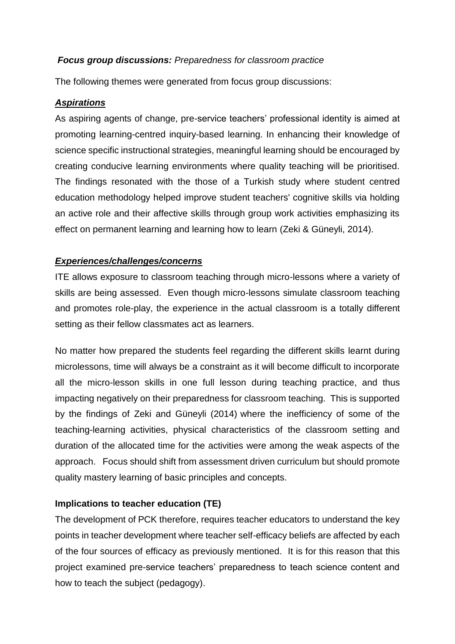### *Focus group discussions: Preparedness for classroom practice*

The following themes were generated from focus group discussions:

### *Aspirations*

As aspiring agents of change, pre-service teachers' professional identity is aimed at promoting learning-centred inquiry-based learning. In enhancing their knowledge of science specific instructional strategies, meaningful learning should be encouraged by creating conducive learning environments where quality teaching will be prioritised. The findings resonated with the those of a Turkish study where student centred education methodology helped improve student teachers' cognitive skills via holding an active role and their affective skills through group work activities emphasizing its effect on permanent learning and learning how to learn (Zeki & Güneyli, 2014).

### *Experiences/challenges/concerns*

ITE allows exposure to classroom teaching through micro-lessons where a variety of skills are being assessed. Even though micro-lessons simulate classroom teaching and promotes role-play, the experience in the actual classroom is a totally different setting as their fellow classmates act as learners.

No matter how prepared the students feel regarding the different skills learnt during microlessons, time will always be a constraint as it will become difficult to incorporate all the micro-lesson skills in one full lesson during teaching practice, and thus impacting negatively on their preparedness for classroom teaching. This is supported by the findings of Zeki and Güneyli (2014) where the inefficiency of some of the teaching-learning activities, physical characteristics of the classroom setting and duration of the allocated time for the activities were among the weak aspects of the approach. Focus should shift from assessment driven curriculum but should promote quality mastery learning of basic principles and concepts.

### **Implications to teacher education (TE)**

The development of PCK therefore, requires teacher educators to understand the key points in teacher development where teacher self-efficacy beliefs are affected by each of the four sources of efficacy as previously mentioned. It is for this reason that this project examined pre-service teachers' preparedness to teach science content and how to teach the subject (pedagogy).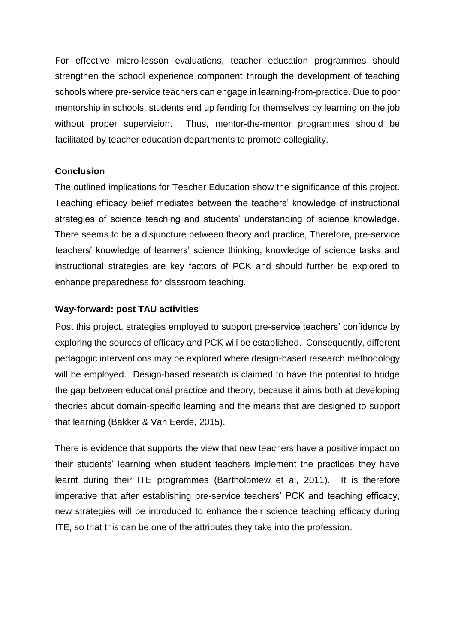For effective micro-lesson evaluations, teacher education programmes should strengthen the school experience component through the development of teaching schools where pre-service teachers can engage in learning-from-practice. Due to poor mentorship in schools, students end up fending for themselves by learning on the job without proper supervision. Thus, mentor-the-mentor programmes should be facilitated by teacher education departments to promote collegiality.

### **Conclusion**

The outlined implications for Teacher Education show the significance of this project. Teaching efficacy belief mediates between the teachers' knowledge of instructional strategies of science teaching and students' understanding of science knowledge. There seems to be a disjuncture between theory and practice, Therefore, pre-service teachers' knowledge of learners' science thinking, knowledge of science tasks and instructional strategies are key factors of PCK and should further be explored to enhance preparedness for classroom teaching.

#### **Way-forward: post TAU activities**

Post this project, strategies employed to support pre-service teachers' confidence by exploring the sources of efficacy and PCK will be established. Consequently, different pedagogic interventions may be explored where design-based research methodology will be employed. Design-based research is claimed to have the potential to bridge the gap between educational practice and theory, because it aims both at developing theories about domain-specific learning and the means that are designed to support that learning (Bakker & Van Eerde, 2015).

There is evidence that supports the view that new teachers have a positive impact on their students' learning when student teachers implement the practices they have learnt during their ITE programmes (Bartholomew et al, 2011). It is therefore imperative that after establishing pre-service teachers' PCK and teaching efficacy, new strategies will be introduced to enhance their science teaching efficacy during ITE, so that this can be one of the attributes they take into the profession.